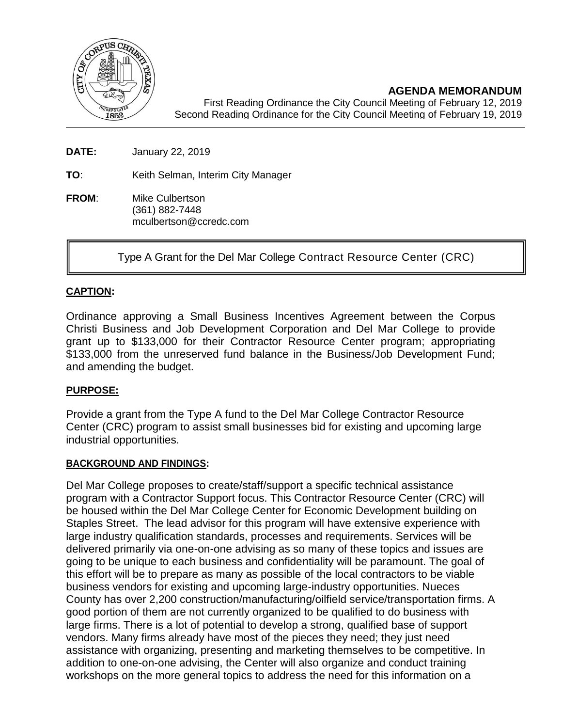

**AGENDA MEMORANDUM**

First Reading Ordinance the City Council Meeting of February 12, 2019 Second Reading Ordinance for the City Council Meeting of February 19, 2019

**DATE:** January 22, 2019

**TO**: Keith Selman, Interim City Manager

**FROM**: Mike Culbertson (361) 882-7448 mculbertson@ccredc.com

Type A Grant for the Del Mar College Contract Resource Center (CRC)

## **CAPTION:**

Ordinance approving a Small Business Incentives Agreement between the Corpus Christi Business and Job Development Corporation and Del Mar College to provide grant up to \$133,000 for their Contractor Resource Center program; appropriating \$133,000 from the unreserved fund balance in the Business/Job Development Fund; and amending the budget.

## **PURPOSE:**

Provide a grant from the Type A fund to the Del Mar College Contractor Resource Center (CRC) program to assist small businesses bid for existing and upcoming large industrial opportunities.

### **BACKGROUND AND FINDINGS:**

Del Mar College proposes to create/staff/support a specific technical assistance program with a Contractor Support focus. This Contractor Resource Center (CRC) will be housed within the Del Mar College Center for Economic Development building on Staples Street. The lead advisor for this program will have extensive experience with large industry qualification standards, processes and requirements. Services will be delivered primarily via one-on-one advising as so many of these topics and issues are going to be unique to each business and confidentiality will be paramount. The goal of this effort will be to prepare as many as possible of the local contractors to be viable business vendors for existing and upcoming large-industry opportunities. Nueces County has over 2,200 construction/manufacturing/oilfield service/transportation firms. A good portion of them are not currently organized to be qualified to do business with large firms. There is a lot of potential to develop a strong, qualified base of support vendors. Many firms already have most of the pieces they need; they just need assistance with organizing, presenting and marketing themselves to be competitive. In addition to one-on-one advising, the Center will also organize and conduct training workshops on the more general topics to address the need for this information on a